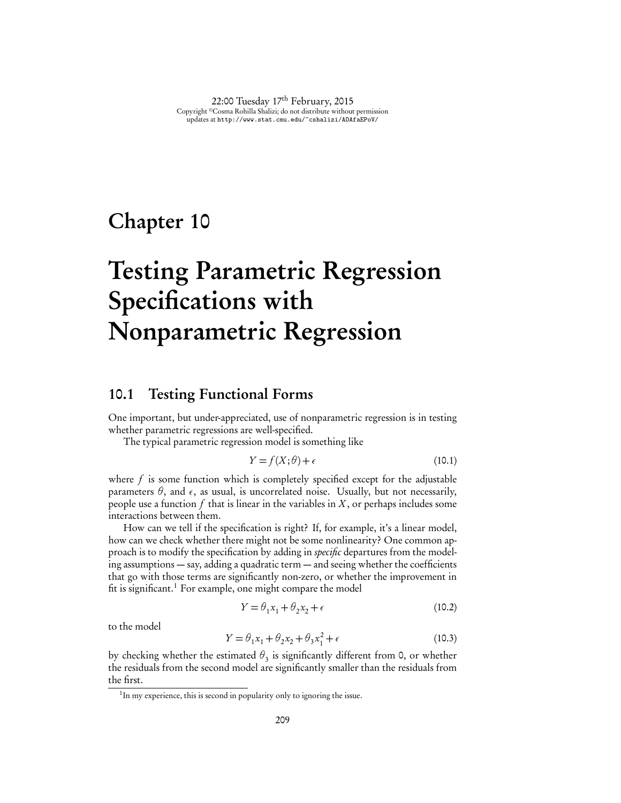# Chapter 10

# Testing Parametric Regression Specifications with Nonparametric Regression

### 10.1 Testing Functional Forms

One important, but under-appreciated, use of nonparametric regression is in testing whether parametric regressions are well-specified.

The typical parametric regression model is something like

$$
Y = f(X; \theta) + \epsilon \tag{10.1}
$$

where  $f$  is some function which is completely specified except for the adjustable parameters  $\theta$ , and  $\epsilon$ , as usual, is uncorrelated noise. Usually, but not necessarily, people use a function *f* that is linear in the variables in *X* , or perhaps includes some interactions between them.

How can we tell if the specification is right? If, for example, it's a linear model, how can we check whether there might not be some nonlinearity? One common approach is to modify the specification by adding in *specific* departures from the modeling assumptions — say, adding a quadratic term — and seeing whether the coefficients that go with those terms are significantly non-zero, or whether the improvement in fit is significant.<sup>1</sup> For example, one might compare the model

$$
Y = \theta_1 x_1 + \theta_2 x_2 + \epsilon \tag{10.2}
$$

to the model

$$
Y = \theta_1 x_1 + \theta_2 x_2 + \theta_3 x_1^2 + \epsilon \tag{10.3}
$$

by checking whether the estimated  $\theta_3$  is significantly different from 0, or whether the residuals from the second model are significantly smaller than the residuals from the first.

 $1$ In my experience, this is second in popularity only to ignoring the issue.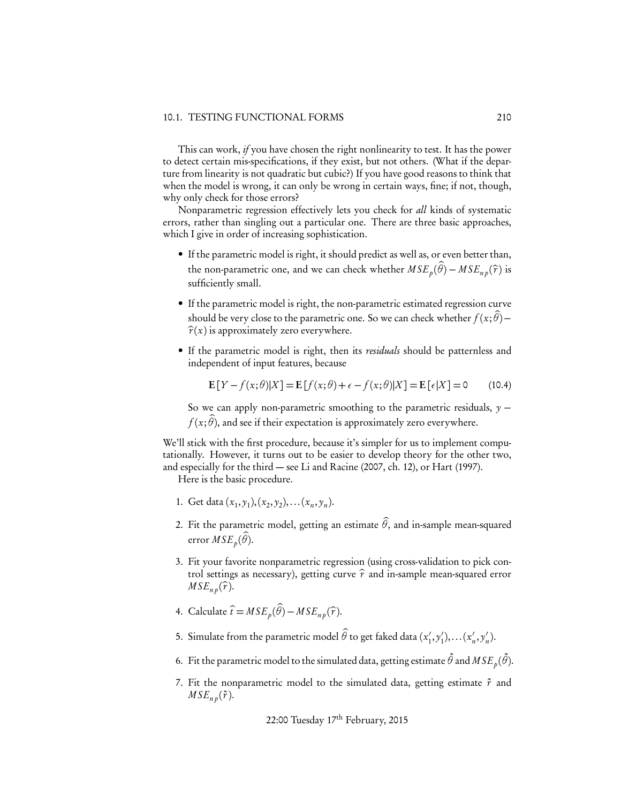This can work, *if* you have chosen the right nonlinearity to test. It has the power to detect certain mis-specifications, if they exist, but not others. (What if the departure from linearity is not quadratic but cubic?) If you have good reasons to think that when the model is wrong, it can only be wrong in certain ways, fine; if not, though, why only check for those errors?

Nonparametric regression effectively lets you check for *all* kinds of systematic errors, rather than singling out a particular one. There are three basic approaches, which I give in order of increasing sophistication.

- If the parametric model is right, it should predict as well as, or even better than, the non-parametric one, and we can check whether  $MSE_p(\theta) - MSE_{np}(\hat{r})$  is sufficiently small.
- If the parametric model is right, the non-parametric estimated regression curve should be very close to the parametric one. So we can check whether  $f(x;\theta)$  –  $\hat{r}(x)$  is approximately zero everywhere.
- If the parametric model is right, then its *residuals* should be patternless and independent of input features, because

$$
\mathbf{E}[Y - f(x;\theta)|X] = \mathbf{E}[f(x;\theta) + \epsilon - f(x;\theta)|X] = \mathbf{E}[\epsilon|X] = 0 \quad (10.4)
$$

So we can apply non-parametric smoothing to the parametric residuals,  $y$  $f(x; \theta)$ , and see if their expectation is approximately zero everywhere.

We'll stick with the first procedure, because it's simpler for us to implement computationally. However, it turns out to be easier to develop theory for the other two, and especially for the third — see Li and Racine (2007, ch. 12), or Hart (1997).

Here is the basic procedure.

- 1. Get data  $(x_1, y_1), (x_2, y_2), \ldots (x_n, y_n)$ .
- 2. Fit the parametric model, getting an estimate  $\theta$ , and in-sample mean-squared error  $MSE_{p}(\theta)$ .
- 3. Fit your favorite nonparametric regression (using cross-validation to pick control settings as necessary), getting curve  $\hat{r}$  and in-sample mean-squared error  $MSE_{np}(\widehat{r})$ .
- 4. Calculate  $\hat{t} = MSE_p(\theta) MSE_{np}(\hat{r})$ .
- 5. Simulate from the parametric model  $\theta$  to get faked data  $(x'_1, y'_1), \ldots, (x'_n, y'_n)$ .
- 6. Fit the parametric model to the simulated data, getting estimate  $\tilde{\theta}$  and  $MSE_{p}(\tilde{\theta}).$
- 7. Fit the nonparametric model to the simulated data, getting estimate ˜*r* and  $MSE_{np}(\tilde{r})$ .

22:00 Tuesday 17<sup>th</sup> February, 2015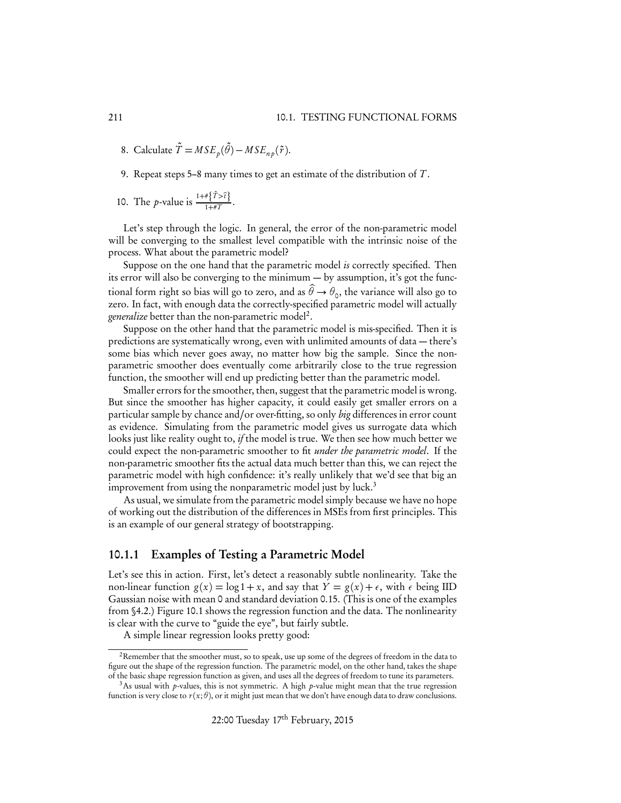- 8. Calculate  $\tilde{T} = MSE_p(\tilde{\theta}) MSE_{np}(\tilde{r})$ .
- 9. Repeat steps 5–8 many times to get an estimate of the distribution of *T* .
- 10. The *p*-value is  $\frac{1+\#\{\tilde{T}>\hat{i}\}}{1+\#T}$ .

Let's step through the logic. In general, the error of the non-parametric model will be converging to the smallest level compatible with the intrinsic noise of the process. What about the parametric model?

Suppose on the one hand that the parametric model *is* correctly specified. Then its error will also be converging to the minimum — by assumption, it's got the functional form right so bias will go to zero, and as  $\theta \to \theta_0$ , the variance will also go to zero. In fact, with enough data the correctly-specified parametric model will actually *generalize* better than the non-parametric model2.

Suppose on the other hand that the parametric model is mis-specified. Then it is predictions are systematically wrong, even with unlimited amounts of data — there's some bias which never goes away, no matter how big the sample. Since the nonparametric smoother does eventually come arbitrarily close to the true regression function, the smoother will end up predicting better than the parametric model.

Smaller errors for the smoother, then, suggest that the parametric model is wrong. But since the smoother has higher capacity, it could easily get smaller errors on a particular sample by chance and/or over-fitting, so only *big* differences in error count as evidence. Simulating from the parametric model gives us surrogate data which looks just like reality ought to, *if* the model is true. We then see how much better we could expect the non-parametric smoother to fit *under the parametric model*. If the non-parametric smoother fits the actual data much better than this, we can reject the parametric model with high confidence: it's really unlikely that we'd see that big an improvement from using the nonparametric model just by luck.<sup>3</sup>

As usual, we simulate from the parametric model simply because we have no hope of working out the distribution of the differences in MSEs from first principles. This is an example of our general strategy of bootstrapping.

#### 10.1.1 Examples of Testing a Parametric Model

Let's see this in action. First, let's detect a reasonably subtle nonlinearity. Take the non-linear function  $g(x) = \log 1 + x$ , and say that  $Y = g(x) + \epsilon$ , with  $\epsilon$  being IID Gaussian noise with mean 0 and standard deviation 0.15. (This is one of the examples from §4.2.) Figure 10.1 shows the regression function and the data. The nonlinearity is clear with the curve to "guide the eye", but fairly subtle.

A simple linear regression looks pretty good:

<sup>&</sup>lt;sup>2</sup>Remember that the smoother must, so to speak, use up some of the degrees of freedom in the data to figure out the shape of the regression function. The parametric model, on the other hand, takes the shape of the basic shape regression function as given, and uses all the degrees of freedom to tune its parameters.

<sup>3</sup>As usual with *p*-values, this is not symmetric. A high *p*-value might mean that the true regression function is very close to  $r(x;\theta)$ , or it might just mean that we don't have enough data to draw conclusions.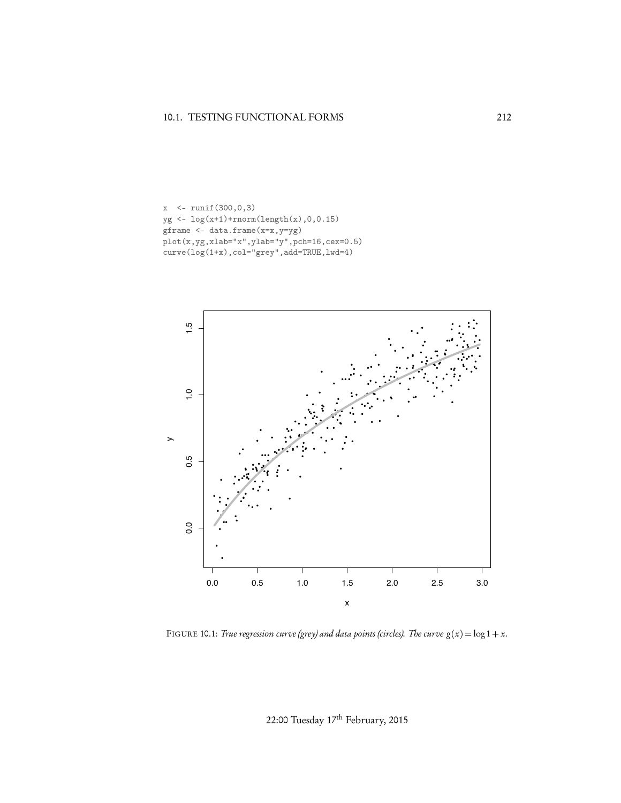```
x <- runif(300,0,3)
yg <- log(x+1)+rnorm(length(x),0,0.15)
gframe <- data.frame(x=x,y=yg)
plot(x,yg,xlab="x",ylab="y",pch=16,cex=0.5)
curve(log(1+x),col="grey",add=TRUE,lwd=4)
```


FIGURE 10.1: *True regression curve (grey) and data points (circles). The curve*  $g(x) = \log 1 + x$ *.*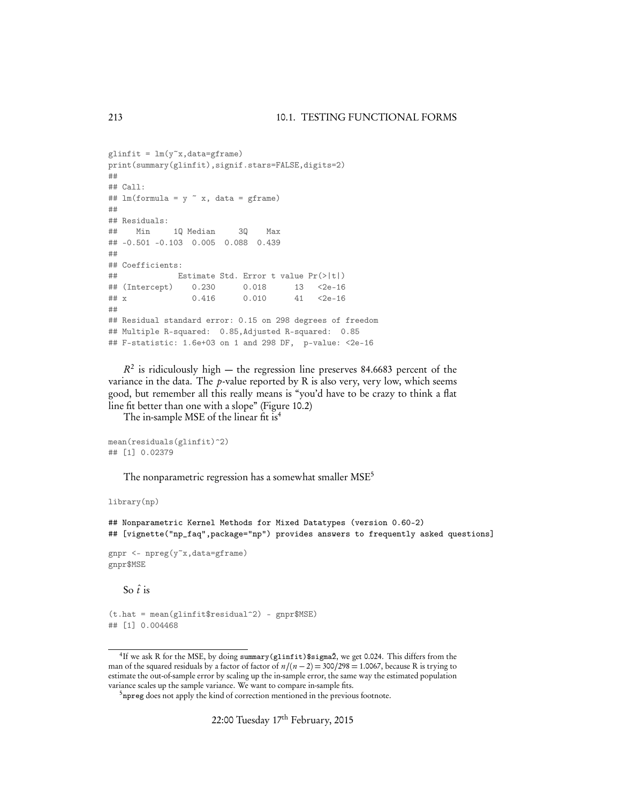```
glimit = lm(y^x, data = gf = gprint(summary(glinfit),signif.stars=FALSE,digits=2)
##
## Call:
## lm(formula = y \tilde{x}, data = gframe)##
## Residuals:
## Min 1Q Median 3Q Max
## -0.501 -0.103 0.005 0.088 0.439
##
## Coefficients:
## Estimate Std. Error t value Pr(>|t|)
## (Intercept) 0.230 0.018 13 <2e-16
## x 0.416 0.010 41 <2e-16
##
## Residual standard error: 0.15 on 298 degrees of freedom
## Multiple R-squared: 0.85,Adjusted R-squared: 0.85
## F-statistic: 1.6e+03 on 1 and 298 DF, p-value: <2e-16
```
 $R^2$  is ridiculously high — the regression line preserves 84.6683 percent of the variance in the data. The *p*-value reported by R is also very, very low, which seems good, but remember all this really means is "you'd have to be crazy to think a flat line fit better than one with a slope" (Figure 10.2)

The in-sample MSE of the linear fit is<sup>4</sup>

```
mean(residuals(glinfit)^2)
## [1] 0.02379
```
The nonparametric regression has a somewhat smaller MSE<sup>5</sup>

library(np)

```
## Nonparametric Kernel Methods for Mixed Datatypes (version 0.60-2)
## [vignette("np_faq",package="np") provides answers to frequently asked questions]
```
gnpr <- npreg(y~x,data=gframe) gnpr\$MSE

So *t* ˆ is

```
(t.hat = mean(glimit $residual ^2) - gnpr$MSE)
## [1] 0.004468
```
22:00 Tuesday 17<sup>th</sup> February, 2015

<sup>&</sup>lt;sup>4</sup>If we ask R for the MSE, by doing summary(glinfit)\$sigma2, we get 0.024. This differs from the man of the squared residuals by a factor of factor of  $n/(n-2) = 300/298 = 1.0067$ , because R is trying to estimate the out-of-sample error by scaling up the in-sample error, the same way the estimated population variance scales up the sample variance. We want to compare in-sample fits.

<sup>&</sup>lt;sup>5</sup>npreg does not apply the kind of correction mentioned in the previous footnote.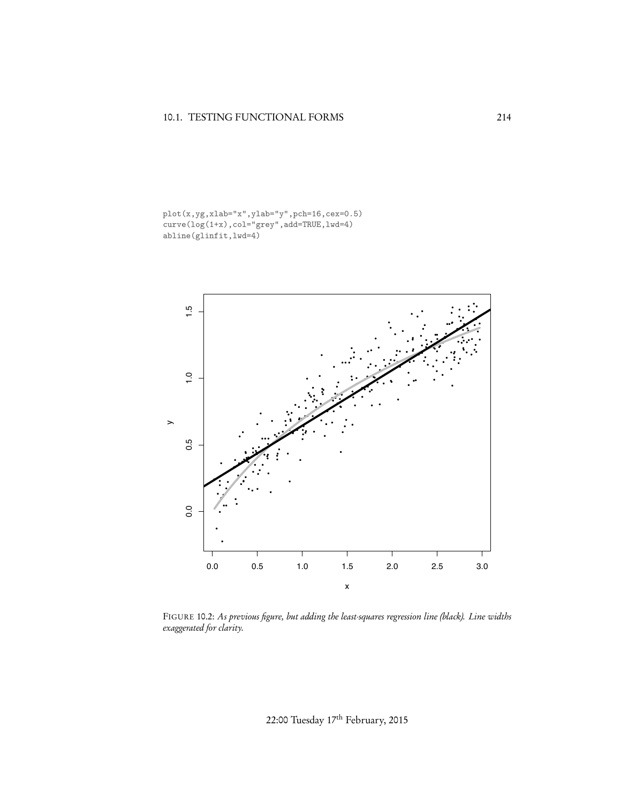plot(x,yg,xlab="x",ylab="y",pch=16,cex=0.5) curve(log(1+x),col="grey",add=TRUE,lwd=4) abline(glinfit,lwd=4)



FIGURE 10.2: *As previous figure, but adding the least-squares regression line (black). Line widths exaggerated for clarity.*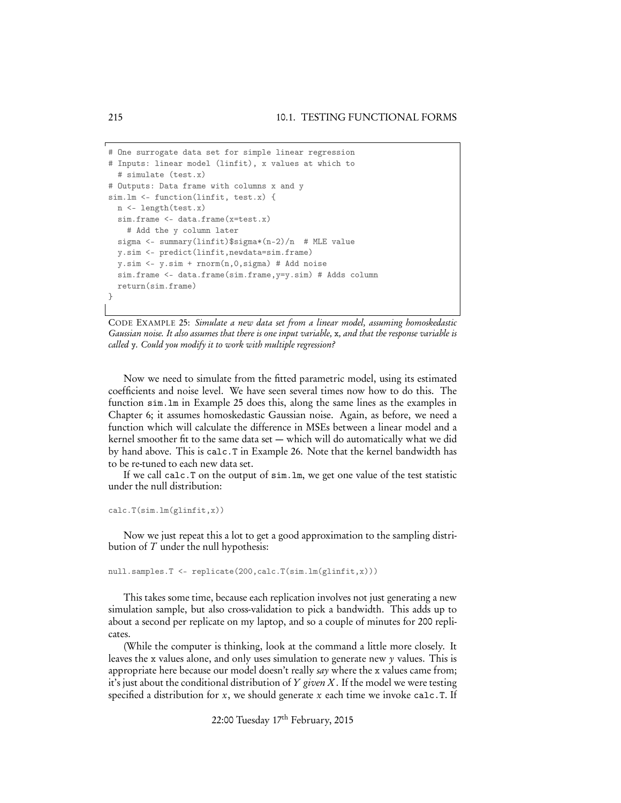```
# One surrogate data set for simple linear regression
# Inputs: linear model (linfit), x values at which to
  # simulate (test.x)
# Outputs: Data frame with columns x and y
sim.lm <- function(linfit, test.x) {
 n <- length(test.x)
  sim.frame <- data.frame(x=test.x)
    # Add the y column later
 sigma <- summary(linfit)$sigma*(n-2)/n # MLE value
  y.sim <- predict(linfit,newdata=sim.frame)
 y.sim <- y.sim + rnorm(n,0,sigma) # Add noise
  sim.frame <- data.frame(sim.frame, y=y.sim) # Adds column
 return(sim.frame)
}
```
CODE EXAMPLE 25: *Simulate a new data set from a linear model, assuming homoskedastic Gaussian noise. It also assumes that there is one input variable,* x*, and that the response variable is called* y*. Could you modify it to work with multiple regression?*

Now we need to simulate from the fitted parametric model, using its estimated coefficients and noise level. We have seen several times now how to do this. The function sim.lm in Example 25 does this, along the same lines as the examples in Chapter 6; it assumes homoskedastic Gaussian noise. Again, as before, we need a function which will calculate the difference in MSEs between a linear model and a kernel smoother fit to the same data set — which will do automatically what we did by hand above. This is calc.T in Example 26. Note that the kernel bandwidth has to be re-tuned to each new data set.

If we call calc.T on the output of sim.lm, we get one value of the test statistic under the null distribution:

calc.T(sim.lm(glinfit,x))

Now we just repeat this a lot to get a good approximation to the sampling distribution of *T* under the null hypothesis:

null.samples.T <- replicate(200,calc.T(sim.lm(glinfit,x)))

This takes some time, because each replication involves not just generating a new simulation sample, but also cross-validation to pick a bandwidth. This adds up to about a second per replicate on my laptop, and so a couple of minutes for 200 replicates.

(While the computer is thinking, look at the command a little more closely. It leaves the x values alone, and only uses simulation to generate new *y* values. This is appropriate here because our model doesn't really *say* where the x values came from; it's just about the conditional distribution of *Y given X* . If the model we were testing specified a distribution for *x*, we should generate *x* each time we invoke calc.T. If

22:00 Tuesday 17<sup>th</sup> February, 2015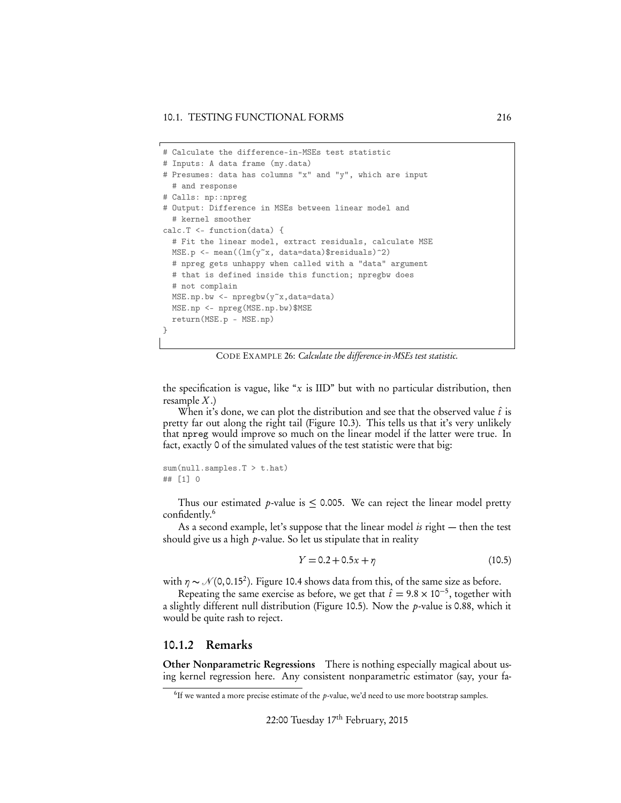```
# Calculate the difference-in-MSEs test statistic
# Inputs: A data frame (my.data)
# Presumes: data has columns "x" and "y", which are input
  # and response
# Calls: np::npreg
# Output: Difference in MSEs between linear model and
  # kernel smoother
calc.T <- function(data) {
  # Fit the linear model, extract residuals, calculate MSE
  MSE.p \leftarrow mean((lm(y^x, data=data)$residuals)^2)
  # npreg gets unhappy when called with a "data" argument
  # that is defined inside this function; npregbw does
  # not complain
  MSE.np.bw <- npregbw(y~x,data=data)
  MSE.np <- npreg(MSE.np.bw)$MSE
  return(MSE.p - MSE.np)
}
```
CODE EXAMPLE 26: *Calculate the difference-in-MSEs test statistic.*

the specification is vague, like "*x* is IID" but with no particular distribution, then resample *X* .)

When it's done, we can plot the distribution and see that the observed value  $\hat{t}$  is pretty far out along the right tail (Figure 10.3). This tells us that it's very unlikely that npreg would improve so much on the linear model if the latter were true. In fact, exactly 0 of the simulated values of the test statistic were that big:

sum(null.samples.T > t.hat) ## [1] 0

Thus our estimated *p*-value is  $\leq$  0.005. We can reject the linear model pretty confidently.<sup>6</sup>

As a second example, let's suppose that the linear model *is* right — then the test should give us a high *p*-value. So let us stipulate that in reality

$$
Y = 0.2 + 0.5x + \eta \tag{10.5}
$$

with  $\eta \sim \mathcal{N}(0, 0.15^2)$ . Figure 10.4 shows data from this, of the same size as before.

Repeating the same exercise as before, we get that  $\hat{t} = 9.8 \times 10^{-5}$ , together with a slightly different null distribution (Figure 10.5). Now the *p*-value is 0.88, which it would be quite rash to reject.

#### 10.1.2 Remarks

Other Nonparametric Regressions There is nothing especially magical about using kernel regression here. Any consistent nonparametric estimator (say, your fa-

<sup>&</sup>lt;sup>6</sup>If we wanted a more precise estimate of the *p*-value, we'd need to use more bootstrap samples.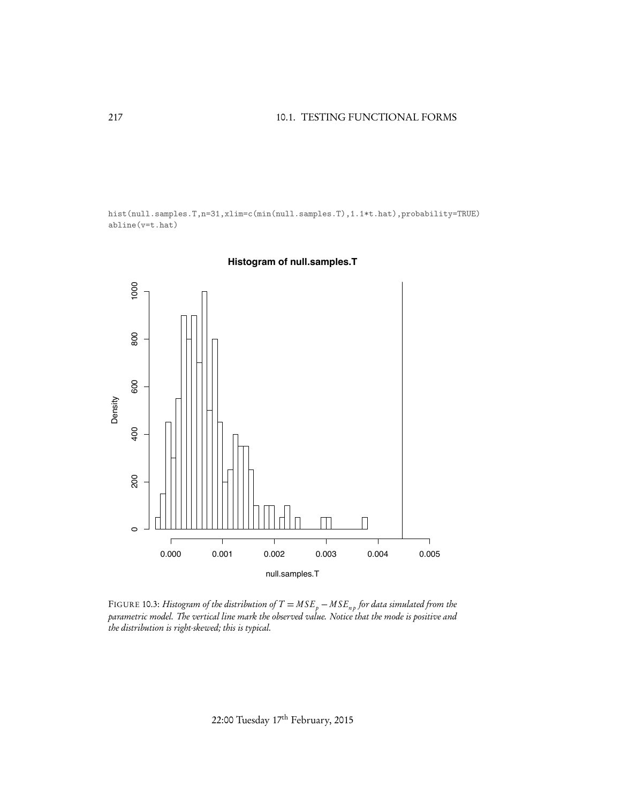hist(null.samples.T,n=31,xlim=c(min(null.samples.T),1.1\*t.hat),probability=TRUE) abline(v=t.hat)



**Histogram of null.samples.T**

FIGURE 10.3: *Histogram of the distribution of T* =  $MSE_p - MSE_{np}$  *for data simulated from the parametric model. The vertical line mark the observed value. Notice that the mode is positive and the distribution is right-skewed; this is typical.*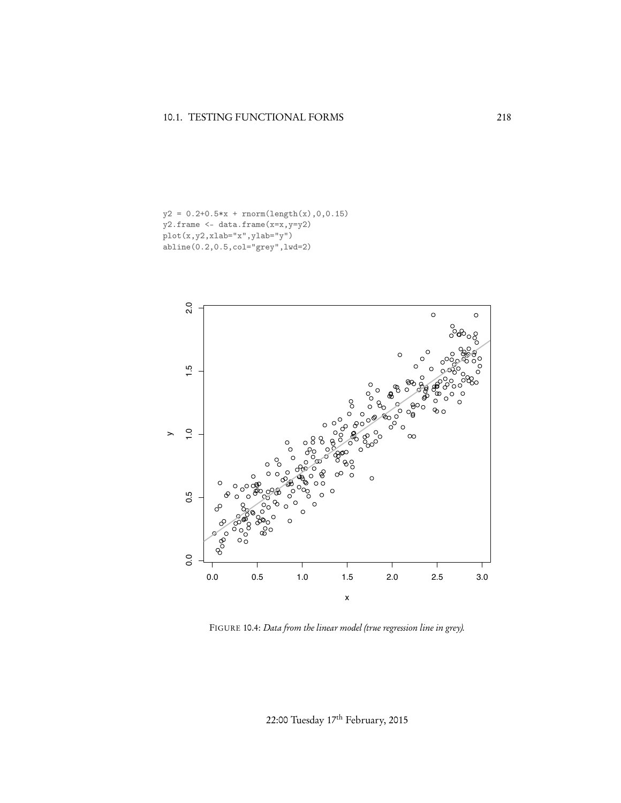$y2 = 0.2 + 0.5*x + rnorm(length(x), 0, 0.15)$ y2.frame <- data.frame(x=x,y=y2) plot(x,y2,xlab="x",ylab="y") abline(0.2,0.5,col="grey",lwd=2)



FIGURE 10.4: *Data from the linear model (true regression line in grey).*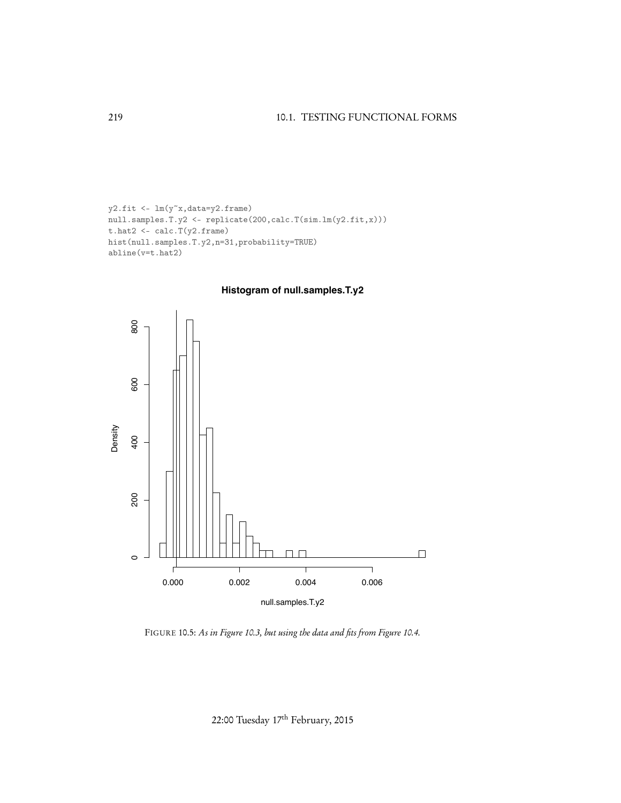```
y2.fit <- lm(y^{\sim}x, data=y2.frame)\verb"null.samples.T.y2 ~\texttt{~\leftarrow$ replicate(200, calc.T(sim.lm(y2.fit,x)))}t.hat2 <- calc.T(y2.frame)
hist(null.samples.T.y2,n=31,probability=TRUE)
abline(v=t.hat2)
```


**Histogram of null.samples.T.y2**

FIGURE 10.5: *As in Figure 10.3, but using the data and fits from Figure 10.4.*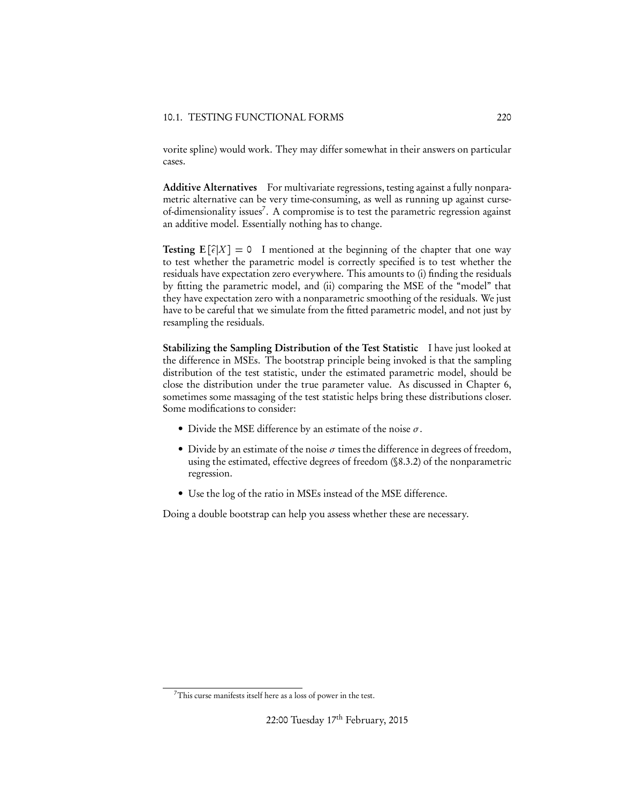vorite spline) would work. They may differ somewhat in their answers on particular cases.

Additive Alternatives For multivariate regressions, testing against a fully nonparametric alternative can be very time-consuming, as well as running up against curseof-dimensionality issues<sup>7</sup>. A compromise is to test the parametric regression against an additive model. Essentially nothing has to change.

**Testing**  $E[\hat{\epsilon}|X] = 0$  I mentioned at the beginning of the chapter that one way to test whether the parametric model is correctly specified is to test whether the residuals have expectation zero everywhere. This amounts to (i) finding the residuals by fitting the parametric model, and (ii) comparing the MSE of the "model" that they have expectation zero with a nonparametric smoothing of the residuals. We just have to be careful that we simulate from the fitted parametric model, and not just by resampling the residuals.

Stabilizing the Sampling Distribution of the Test Statistic I have just looked at the difference in MSEs. The bootstrap principle being invoked is that the sampling distribution of the test statistic, under the estimated parametric model, should be close the distribution under the true parameter value. As discussed in Chapter 6, sometimes some massaging of the test statistic helps bring these distributions closer. Some modifications to consider:

- Divide the MSE difference by an estimate of the noise  $\sigma$ .
- Divide by an estimate of the noise  $\sigma$  times the difference in degrees of freedom, using the estimated, effective degrees of freedom (§8.3.2) of the nonparametric regression.
- Use the log of the ratio in MSEs instead of the MSE difference.

Doing a double bootstrap can help you assess whether these are necessary.

<sup>7</sup>This curse manifests itself here as a loss of power in the test.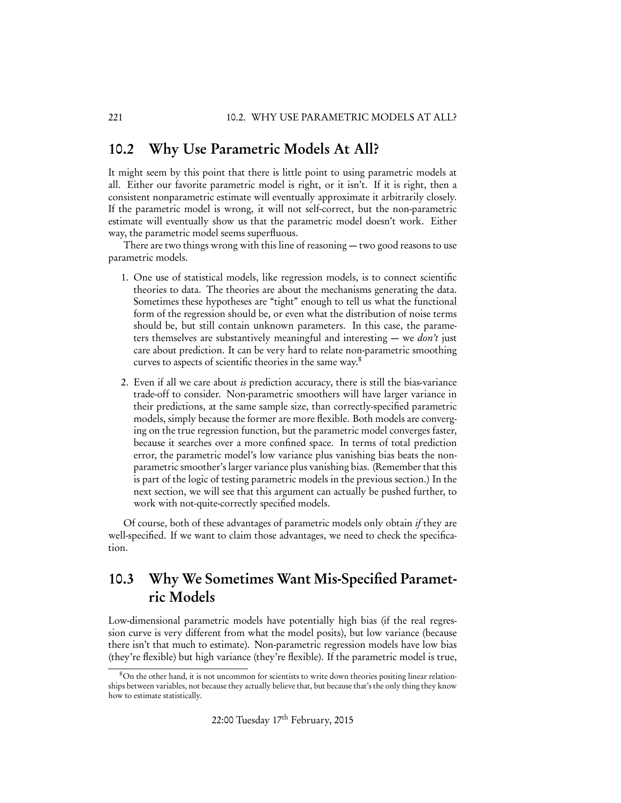#### 10.2 Why Use Parametric Models At All?

It might seem by this point that there is little point to using parametric models at all. Either our favorite parametric model is right, or it isn't. If it is right, then a consistent nonparametric estimate will eventually approximate it arbitrarily closely. If the parametric model is wrong, it will not self-correct, but the non-parametric estimate will eventually show us that the parametric model doesn't work. Either way, the parametric model seems superfluous.

There are two things wrong with this line of reasoning — two good reasons to use parametric models.

- 1. One use of statistical models, like regression models, is to connect scientific theories to data. The theories are about the mechanisms generating the data. Sometimes these hypotheses are "tight" enough to tell us what the functional form of the regression should be, or even what the distribution of noise terms should be, but still contain unknown parameters. In this case, the parameters themselves are substantively meaningful and interesting — we *don't* just care about prediction. It can be very hard to relate non-parametric smoothing curves to aspects of scientific theories in the same way.<sup>8</sup>
- 2. Even if all we care about *is* prediction accuracy, there is still the bias-variance trade-off to consider. Non-parametric smoothers will have larger variance in their predictions, at the same sample size, than correctly-specified parametric models, simply because the former are more flexible. Both models are converging on the true regression function, but the parametric model converges faster, because it searches over a more confined space. In terms of total prediction error, the parametric model's low variance plus vanishing bias beats the nonparametric smoother's larger variance plus vanishing bias. (Remember that this is part of the logic of testing parametric models in the previous section.) In the next section, we will see that this argument can actually be pushed further, to work with not-quite-correctly specified models.

Of course, both of these advantages of parametric models only obtain *if* they are well-specified. If we want to claim those advantages, we need to check the specification.

# 10.3 Why We Sometimes Want Mis-Specified Parametric Models

Low-dimensional parametric models have potentially high bias (if the real regression curve is very different from what the model posits), but low variance (because there isn't that much to estimate). Non-parametric regression models have low bias (they're flexible) but high variance (they're flexible). If the parametric model is true,

<sup>&</sup>lt;sup>8</sup>On the other hand, it is not uncommon for scientists to write down theories positing linear relationships between variables, not because they actually believe that, but because that's the only thing they know how to estimate statistically.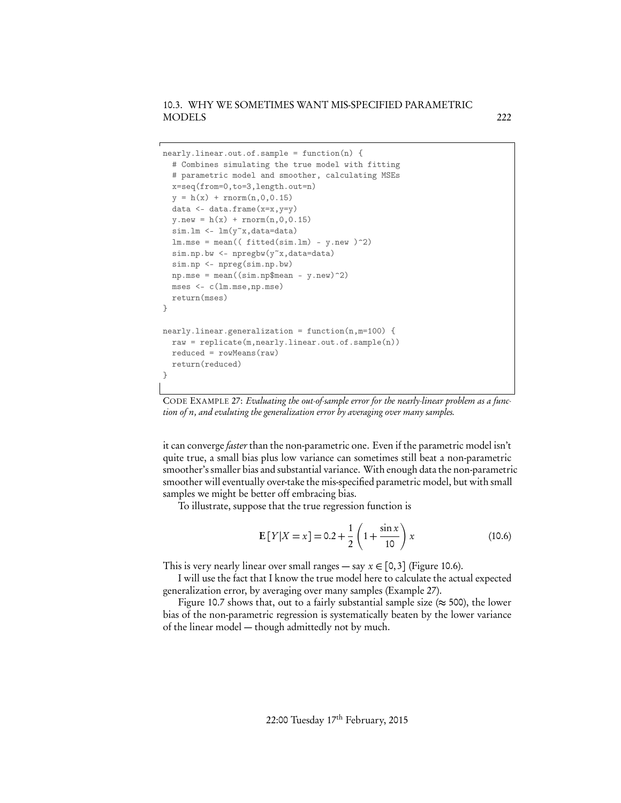10.3. WHY WE SOMETIMES WANT MIS-SPECIFIED PARAMETRIC MODELS 222

```
nearly.linear.out.of.sample = function(n) {
  # Combines simulating the true model with fitting
  # parametric model and smoother, calculating MSEs
  x=seq(from=0,to=3,length.out=n)
  y = h(x) + rnorm(n, 0, 0.15)data \leftarrow data.frame(x=x, y=y)y.new = h(x) + rnorm(n, 0, 0.15)sim.lm \leq lm(y^xx,data=data)
  lm.mse = mean((fitted(sim.lm) - y.new )^2)sim.np.bw <- npregbw(y~x,data=data)
  sim.np <- npreg(sim.np.bw)
  np.mse = mean((sim.np$mean - y.new)^2)
  mses <- c(lm.mse,np.mse)
  return(mses)
}
nearly.linear.generalization = function(n,m=100) {
  raw = replicate(m,nearly.linear.out.of.sample(n))
  reduced = rowMeans(raw)return(reduced)
}
```
CODE EXAMPLE 27: *Evaluating the out-of-sample error for the nearly-linear problem as a function of n, and evaluting the generalization error by averaging over many samples.*

it can converge *faster* than the non-parametric one. Even if the parametric model isn't quite true, a small bias plus low variance can sometimes still beat a non-parametric smoother's smaller bias and substantial variance. With enough data the non-parametric smoother will eventually over-take the mis-specified parametric model, but with small samples we might be better off embracing bias.

To illustrate, suppose that the true regression function is

$$
E[Y|X=x] = 0.2 + \frac{1}{2} \left( 1 + \frac{\sin x}{10} \right) x \tag{10.6}
$$

This is very nearly linear over small ranges — say  $x \in [0, 3]$  (Figure 10.6).

I will use the fact that I know the true model here to calculate the actual expected generalization error, by averaging over many samples (Example 27).

Figure 10.7 shows that, out to a fairly substantial sample size ( $\approx$  500), the lower bias of the non-parametric regression is systematically beaten by the lower variance of the linear model — though admittedly not by much.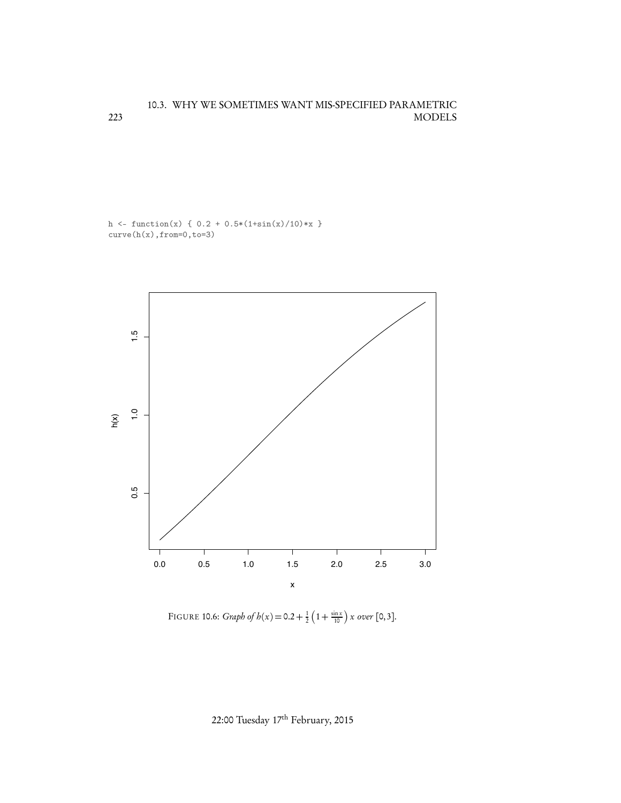h <- function(x) {  $0.2 + 0.5*(1+sin(x)/10)*x$  } curve(h(x),from=0,to=3)



FIGURE 10.6: *Graph of h*(*x*) = 0.2 +  $\frac{1}{2}$  (1 +  $\frac{\sin x}{10}$ ) *x* over [0,3].

22:00 Tuesday  $17^{\rm th}$  February, 2015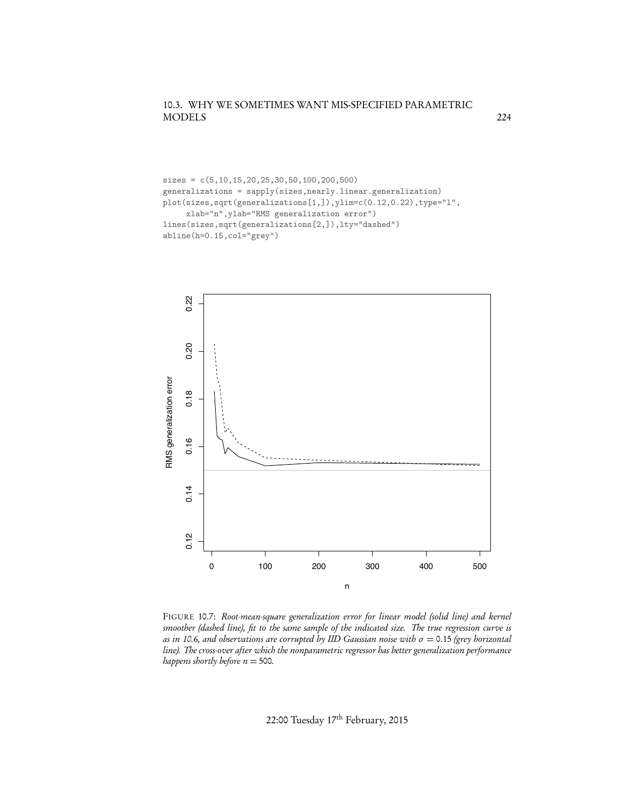#### 10.3. WHY WE SOMETIMES WANT MIS-SPECIFIED PARAMETRIC MODELS 224

sizes = c(5,10,15,20,25,30,50,100,200,500) generalizations = sapply(sizes,nearly.linear.generalization) plot(sizes,sqrt(generalizations[1,]),ylim=c(0.12,0.22),type="l", xlab="n",ylab="RMS generalization error") lines(sizes,sqrt(generalizations[2,]),lty="dashed") abline(h=0.15,col="grey")



FIGURE 10.7: *Root-mean-square generalization error for linear model (solid line) and kernel smoother (dashed line), fit to the same sample of the indicated size. The true regression curve is as in 10.6, and observations are corrupted by IID Gaussian noise with*  $\sigma = 0.15$  (grey horizontal *line). The cross-over after which the nonparametric regressor has better generalization performance happens shortly before n* = 500*.*